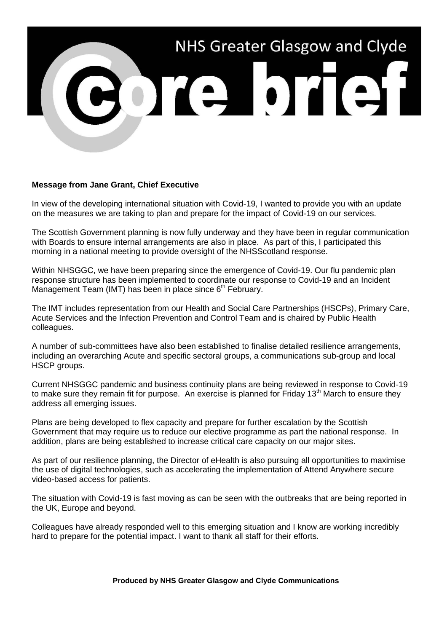

## **Message from Jane Grant, Chief Executive**

In view of the developing international situation with Covid-19, I wanted to provide you with an update on the measures we are taking to plan and prepare for the impact of Covid-19 on our services.

The Scottish Government planning is now fully underway and they have been in regular communication with Boards to ensure internal arrangements are also in place. As part of this, I participated this morning in a national meeting to provide oversight of the NHSScotland response.

Within NHSGGC, we have been preparing since the emergence of Covid-19. Our flu pandemic plan response structure has been implemented to coordinate our response to Covid-19 and an Incident Management Team (IMT) has been in place since  $6<sup>th</sup>$  February.

The IMT includes representation from our Health and Social Care Partnerships (HSCPs), Primary Care, Acute Services and the Infection Prevention and Control Team and is chaired by Public Health colleagues.

A number of sub-committees have also been established to finalise detailed resilience arrangements, including an overarching Acute and specific sectoral groups, a communications sub-group and local HSCP groups.

Current NHSGGC pandemic and business continuity plans are being reviewed in response to Covid-19 to make sure they remain fit for purpose. An exercise is planned for Friday 13<sup>th</sup> March to ensure they address all emerging issues.

Plans are being developed to flex capacity and prepare for further escalation by the Scottish Government that may require us to reduce our elective programme as part the national response. In addition, plans are being established to increase critical care capacity on our major sites.

As part of our resilience planning, the Director of eHealth is also pursuing all opportunities to maximise the use of digital technologies, such as accelerating the implementation of Attend Anywhere secure video-based access for patients.

The situation with Covid-19 is fast moving as can be seen with the outbreaks that are being reported in the UK, Europe and beyond.

Colleagues have already responded well to this emerging situation and I know are working incredibly hard to prepare for the potential impact. I want to thank all staff for their efforts.